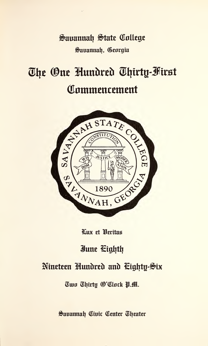Sauannah State College Sauannah, Georgia

# The One Hundred Thirty-First Commencement



Lux et Heritas

# June Eighth

# Nineteen Hundred and Cighty-Six

Two Thirty (O'Clock P.M.

Sauannah Civic Center Theater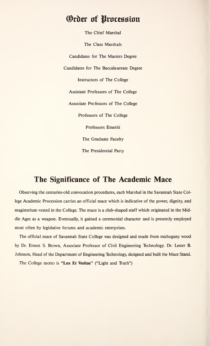# Order of Procession

The Chief Marshal The Class Marshals Candidates for The Masters Degree Candidates for The Baccalaureate Degree Instructors of The College Assistant Professors of The College Associate Professors of The College Professors of The College Professors Emeriti The Graduate Faculty The Presidential Party

### The Significance of The Academic Mace

Observing the centuries-old convocation procedures, each Marshal in the Savannah State College Academic Procession carries an official mace which is indicative of the power, dignity, and magisterium vested in the College. The mace is a club-shaped staff which originated in the Middle Ages as a weapon. Eventually, it gained a ceremonial character and is presently employed most often by legislative forums and academic enterprises.

The official mace of Savannah State College was designed and made from mahogany wood by Dr. Ernest S. Brown, Associate Professor of Civil Engineering Technology. Dr. Lester B. Johnson, Head of the Department of Engineering Technology, designed and built the Mace Stand.

The College motto is "Lux Et Veritas" ("Light and Truth")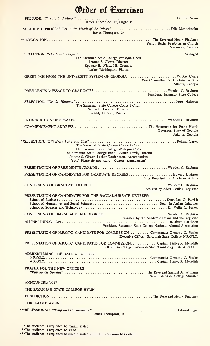| <b>Order of Exercises</b>                                                                                                                                                                                                                                   |
|-------------------------------------------------------------------------------------------------------------------------------------------------------------------------------------------------------------------------------------------------------------|
| James Thompson, Jr., Organist                                                                                                                                                                                                                               |
| James Thompson, Jr.                                                                                                                                                                                                                                         |
| Pastor, Butler Presbyterian Church<br>Savannah, Georgia                                                                                                                                                                                                     |
| The Savannah State College Wesleyan Choir<br>Jerome S. Glover, Director<br>Spencer E. White, III, Organist<br>Luther Washington, Pianist                                                                                                                    |
| GREETINGS FROM THE UNIVERSITY SYSTEM OF GEORGIA W. Ray Cleere<br>Vice Chancellor for Academic Affairs<br>Atlanta, Georgia                                                                                                                                   |
| President, Savannah State College                                                                                                                                                                                                                           |
| The Savannah State College Concert Choir<br>Willie E. Jackson, Director<br>Randy Duncan, Pianist                                                                                                                                                            |
|                                                                                                                                                                                                                                                             |
| Governor, State of Georgia<br>Atlanta, Georgia                                                                                                                                                                                                              |
| The Savannah State College Concert Choir<br>The Savannah State College Wesleyan Choir<br>The Savannah State College Band - Alfred Davis, Director<br>Jerome S. Glover, Luther Washington, Accompanists<br>(note) Please do not stand - Concert arrangement) |
|                                                                                                                                                                                                                                                             |
| PRESENTATION OF CANDIDATES FOR GRADUATE DEGREES Edward J. Hayes<br>Vice President for Academic Affairs                                                                                                                                                      |
| Assisted by Alvin Collins, Registrar                                                                                                                                                                                                                        |
| PRESENTATION OF CANDIDATES FOR THE BACCALAUREATE DEGREES:                                                                                                                                                                                                   |
| Assisted by the Academic Deans and the Registrar                                                                                                                                                                                                            |
| President, Savannah State College National Alumni Association<br>PRESENTATION OF N.R.O.T.C. CANDIDATE FOR COMMISSION Commander Ormond C. Fowler                                                                                                             |
| Executive Officer, Savannah State College N.R.O.T.C.<br>PRESENTATION OF A.R.O.T.C. CANDIDATES FOR COMMISSIONCaptain James R. Meredith                                                                                                                       |
| Officer in Charge, Savannah State/Armstrong State A.R.O.T.C.                                                                                                                                                                                                |
| ADMINISTERING THE OATH OF OFFICE:                                                                                                                                                                                                                           |
| <b>PRAYER FOR THE NEW OFFICERS</b><br>Savannah State College Minister                                                                                                                                                                                       |
| <b>ANNOUNCEMENTS</b>                                                                                                                                                                                                                                        |
| THE SAVANNAH STATE COLLEGE HYMN                                                                                                                                                                                                                             |
|                                                                                                                                                                                                                                                             |
| THREE-FOLD AMEN                                                                                                                                                                                                                                             |
| James Thompson, Jr.                                                                                                                                                                                                                                         |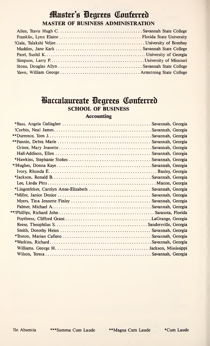# **Master's Degrees Conferred MASTER OF BUSINESS ADMINISTRATION**

## **Baccalaureate Degrees Conferred SCHOOL OF BUSINESS**

#### **Accounting**

| *Lingenfelser, Carolyn Anne-Elizabeth  Savannah, Georgia |  |
|----------------------------------------------------------|--|
|                                                          |  |
|                                                          |  |
|                                                          |  |
|                                                          |  |
|                                                          |  |
|                                                          |  |
|                                                          |  |
|                                                          |  |
|                                                          |  |
|                                                          |  |
|                                                          |  |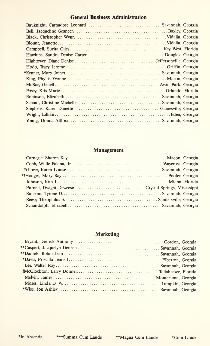### General Business Administration

L,

### Management

### Marketing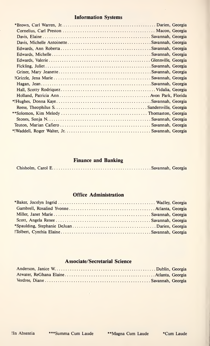### Information Systems

### Finance and Banking

|--|--|--|--|--|--|--|--|--|--|--|--|--|--|--|--|--|

### **Office Administration**

### Associate/Secretarial Science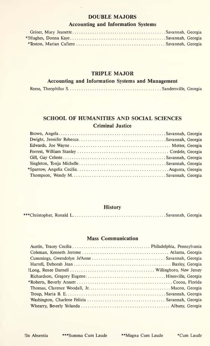#### DOUBLE MAJORS

### Accounting and Information Systems

#### TRIPLE MAJOR

### Accounting and Information Systems and Management

|--|--|--|--|--|

### SCHOOL OF HUMANITIES AND SOCIAL SCIENCES Criminal Justice

#### **History**

|--|--|--|--|

#### Mass Communication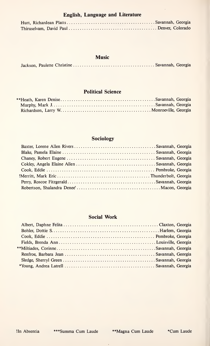### English, Language and Literature

### Music

|--|--|--|--|--|

### Political Science

### Sociology

#### Social Work

!In Absentia \*\*\*Summa Cum Laude \*\*Magna Cum Laude \*\*Cum Laude

 $\mathcal{A}^{\mathcal{A}}$  and  $\mathcal{A}^{\mathcal{A}}$  and  $\mathcal{A}^{\mathcal{A}}$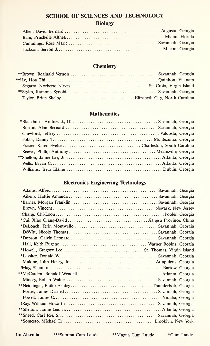### SCHOOL OF SCIENCES AND TECHNOLOGY **Biology**

### **Chemistry**

### **Mathematics**

### Electronics Engineering Technology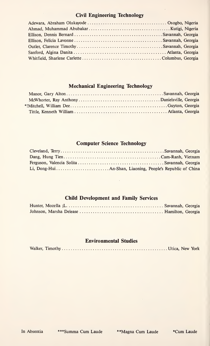### Civil Engineering Technology

### Mechanical Engineering Technology

#### Computer Science Technology

### Child Development and Family Services

#### Environmental Studies

|--|--|--|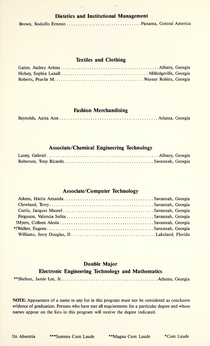### Dietetics and Institutional Management

|--|--|--|--|

#### Textiles and Clothing

#### Fashion Merchandising

|--|--|--|--|

#### Associate/Chemical Engineering Technology

#### Associate/Computer Technology

#### Double Major

#### Electronic Engineering Technology and Mathematics

|--|--|--|--|--|--|

NOTE: Appearance of a name in any list in this program must not be considered as conclusive evidence of graduation. Persons who have met all requirements for a particular degree and whose names appear on the lists in this program will receive the degree indicated.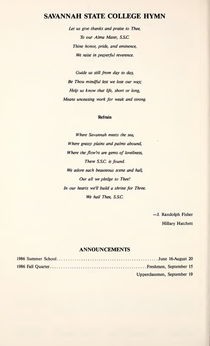### SAVANNAH STATE COLLEGE HYMN

Let us give thanks and praise to Thee, To our Alma Mater, S.S.C. Thine honor, pride, and eminence, We raise in prayerful reverence.

Guide us still from day to day, Be Thou mindful lest we lose our way; Help us know that life, short or long, Means unceasing work for weak and strong.

#### Refrain

Where Savannah meets the sea, Where grassy plains and palms abound, Where the flow'rs are gems of loveliness, There S.S.C. is found. We adore each beauteous scene and hall, Our all we pledge to Thee! In our hearts we'll build a shrine for Three. We hail Thee, S.S.C.

> -J. Randolph Fisher Hillary Hatchett

#### ANNOUNCEMENTS

| Upperclassmen, September 19 |  |
|-----------------------------|--|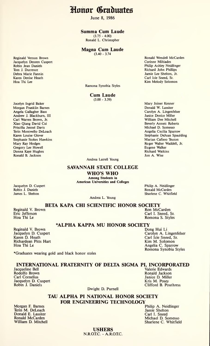Honor Graduates

June 8, 1986

Summa Cum Laude

 $(3.75 - 4.00)$ Ronald L. Christopher

### Magna Cum Laude

(3.40 - 3.74

Ramona Synobia Styles

Cum Laude  $(3.00 - 3.39)$ 

Ronald Wendell McCarden Corinne Miltiades Philip Ashley Neidlinger Richard John Phillips Jamie Lee Shelton, Jr. Carl Icie Sneed, Sr. Kim Melody Solomon

Mary Joiner Kenner Donald W. Lassiter Carolyn A. Lingenfelser Janice Denice Miller William Dee Mitchell Beverly Annett Roberts Michael D. Somesso Angelia Cecilia Sparrow Stephanie DeJuan Spaulding Marian Cafiero Teuton Roger Walter Waddell, Jr. Eugene Walker Richard Watkins Jon A. Wise

Andrea Latrell Young

#### SAVANNAH STATE COLLEGE

WHO'S WHO Among Students in American Universities and Colleges

Jacquelyn D. Cuspert Robin J. Daniels James L. Shelton

Reginald Vernon Brown Jacquelyn Deneen Cuspert Robin Jean Daniels Tom J. Durrence Debra Marie Fannin Karen Denise Heath Hoa Thi Lee

Jocelyn Ingrid Baker Morgan Franklin Barnes Angela Gallagher Bass Andrew J. Blackburn, III Carl Warren Brown, Jr. Xiao Qiang David Cui Priscilla Jennel Davis Terin Montwello DeLoach Karen Louise Glover Stephanie Stokes Hawkins Mary Ray Hodges Gregory Lee Howell Donna Kaye Hughes Ronald B. Jackson

Andrea L. Young

BETA KAPA CHI SCIENTIFIC HONOR SOCIETY

Reginald V. Brown Eric Jefferson Hoa Thi Le

\*ALPHA KAPPA MU HONOR SOCIETY

Reginald V. Brown Jacquelyn D. Cuspert Karen D. Heath Richardean Pitts Hart Hoa Thi Le

•Graduates wearing gold and black honor stoles

#### INTERNATIONAL FRATERNITY OF DELTA SIGMA PI, INCORPORATED

Jacqueline Bell Rodolfo Brown Carl Cornelius Jacquelyn D. Cuspert Robin J. Daniels

Dwight D. Purnell

#### TAU ALPHA PI NATIONAL HONOR SOCIETY FOR ENGINEERING TECHNOLOGY

Morgan F. Barnes **Philip A. Neidlinger** Philip A. Neidlinger Philip A. Neidlinger Philip A. Neidlinger Philip A. Neidlinger Philip A. Neidlinger Philip A. Neidlinger Philip A. Neidlinger Philip A. Neidlinger Philip A. Neid Terin M. DeLoach **Jamie Shelton Carl Act and Shelton Carl Act and Shelton Carl Act and Shelton Carl Act and Shelton Carl Act and Shelton Carl Act and Shelton Carl Act and Shelton Carl Act and Shelton Carl Act and Shelton C** Donald E. Lassiter<br>Ronald McCarden Ronald McCarden **Michael D. Somesso**<br>William D. Mitchell Sharlene C. Whitfield

> USHERS N.R.O.T.C. - A.R.OT.C.

Ron McCarden

Philip A. Neidlinger Ronald McCarden Sharlene C. Whitfield

Carl I. Sneed, Sr. Romona S. Styles

Dong Hui Li Carolyn A. Lingenfelser Carl Icie Sneed, Sr. Kim M. Solomon Angelia C. Sparrow Romona Synobia Styles

Valerie Edwards Ronald Jackson Janice D. Miller Kris M. Posey Clifford B. Pouthress